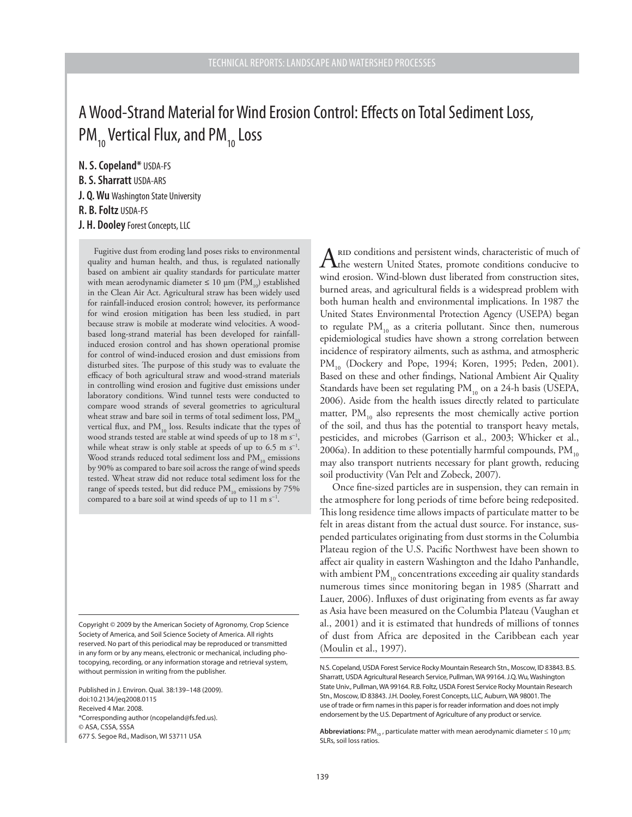# A Wood-Strand Material for Wind Erosion Control: Effects on Total Sediment Loss,  $PM_{10}$  Vertical Flux, and PM<sub>10</sub> Loss

**N. S. Copeland\*** USDA-FS

**B. S. Sharratt** USDA-ARS

**J. Q. Wu** Washington State University

**R. B. Foltz** USDA-FS

#### **J. H. Dooley** Forest Concepts, LLC

Fugitive dust from eroding land poses risks to environmental quality and human health, and thus, is regulated nationally based on ambient air quality standards for particulate matter with mean aerodynamic diameter  $\leq 10 \mu m (PM_{10})$  established in the Clean Air Act. Agricultural straw has been widely used for rainfall-induced erosion control; however, its performance for wind erosion mitigation has been less studied, in part because straw is mobile at moderate wind velocities. A woodbased long-strand material has been developed for rainfallinduced erosion control and has shown operational promise for control of wind-induced erosion and dust emissions from disturbed sites. The purpose of this study was to evaluate the efficacy of both agricultural straw and wood-strand materials in controlling wind erosion and fugitive dust emissions under laboratory conditions. Wind tunnel tests were conducted to compare wood strands of several geometries to agricultural wheat straw and bare soil in terms of total sediment loss,  $PM_{10}$ vertical flux, and  $PM_{10}$  loss. Results indicate that the types of wood strands tested are stable at wind speeds of up to 18 m s<sup>-1</sup>, while wheat straw is only stable at speeds of up to  $6.5 \text{ m s}^{-1}$ . Wood strands reduced total sediment loss and  $PM_{10}$  emissions by 90% as compared to bare soil across the range of wind speeds tested. Wheat straw did not reduce total sediment loss for the range of speeds tested, but did reduce PM<sub>10</sub> emissions by 75% compared to a bare soil at wind speeds of up to 11 m s<sup>-1</sup>.

Copyright © 2009 by the American Society of Agronomy, Crop Science Society of America, and Soil Science Society of America. All rights reserved. No part of this periodical may be reproduced or transmitted in any form or by any means, electronic or mechanical, including photocopying, recording, or any information storage and retrieval system, without permission in writing from the publisher.

Published in J. Environ. Qual. 38:139–148 (2009). doi:10.2134/jeq2008.0115 Received 4 Mar. 2008. \*Corresponding author (ncopeland@fs.fed.us). © ASA, CSSA, SSSA 677 S. Segoe Rd., Madison, WI 53711 USA

ARID conditions and persistent winds, characteristic of much of<br>the western United States, promote conditions conducive to wind erosion. Wind-blown dust liberated from construction sites, burned areas, and agricultural fields is a widespread problem with both human health and environmental implications. In 1987 the United States Environmental Protection Agency (USEPA) began to regulate  $PM_{10}$  as a criteria pollutant. Since then, numerous epidemiological studies have shown a strong correlation between incidence of respiratory ailments, such as asthma, and atmospheric PM<sub>10</sub> (Dockery and Pope, 1994; Koren, 1995; Peden, 2001). Based on these and other findings, National Ambient Air Quality Standards have been set regulating  $PM_{10}$  on a 24-h basis (USEPA, 2006). Aside from the health issues directly related to particulate matter,  $PM_{10}$  also represents the most chemically active portion of the soil, and thus has the potential to transport heavy metals, pesticides, and microbes (Garrison et al., 2003; Whicker et al., 2006a). In addition to these potentially harmful compounds,  $PM_{10}$ may also transport nutrients necessary for plant growth, reducing soil productivity (Van Pelt and Zobeck, 2007).

Once fine-sized particles are in suspension, they can remain in the atmosphere for long periods of time before being redeposited. This long residence time allows impacts of particulate matter to be felt in areas distant from the actual dust source. For instance, suspended particulates originating from dust storms in the Columbia Plateau region of the U.S. Pacific Northwest have been shown to affect air quality in eastern Washington and the Idaho Panhandle, with ambient  $PM_{10}$  concentrations exceeding air quality standards numerous times since monitoring began in 1985 (Sharratt and Lauer, 2006). Influxes of dust originating from events as far away as Asia have been measured on the Columbia Plateau (Vaughan et al., 2001) and it is estimated that hundreds of millions of tonnes of dust from Africa are deposited in the Caribbean each year (Moulin et al., 1997).

N.S. Copeland, USDA Forest Service Rocky Mountain Research Stn., Moscow, ID 83843. B.S. Sharratt, USDA Agricultural Research Service, Pullman, WA 99164. J.Q. Wu, Washington State Univ., Pullman, WA 99164. R.B. Foltz, USDA Forest Service Rocky Mountain Research Stn., Moscow, ID 83843. J.H. Dooley, Forest Concepts, LLC, Auburn, WA 98001. The use of trade or firm names in this paper is for reader information and does not imply endorsement by the U.S. Department of Agriculture of any product or service.

**Abbreviations:** PM<sub>10</sub>, particulate matter with mean aerodynamic diameter  $\leq 10 \mu m$ ; SLRs, soil loss ratios.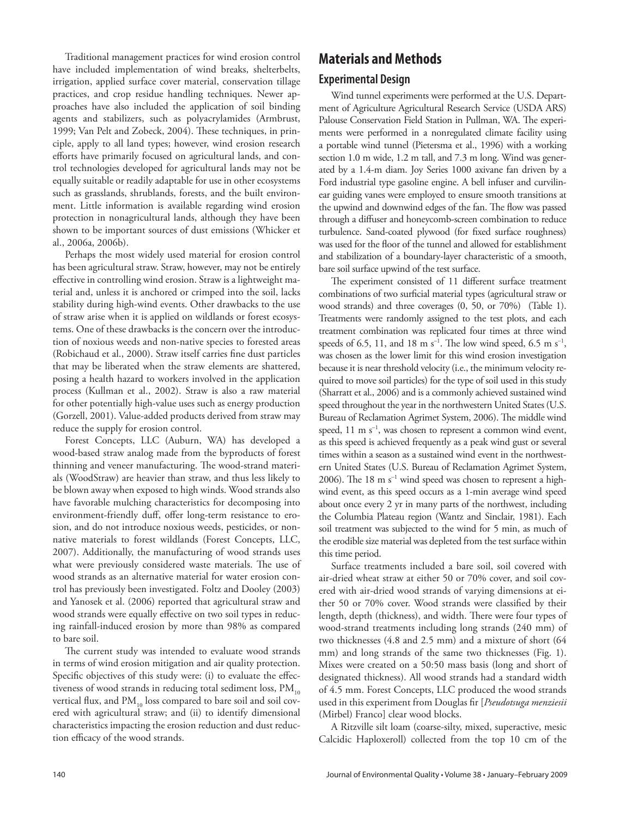Traditional management practices for wind erosion control have included implementation of wind breaks, shelterbelts, irrigation, applied surface cover material, conservation tillage practices, and crop residue handling techniques. Newer approaches have also included the application of soil binding agents and stabilizers, such as polyacrylamides (Armbrust, 1999; Van Pelt and Zobeck, 2004). These techniques, in principle, apply to all land types; however, wind erosion research efforts have primarily focused on agricultural lands, and control technologies developed for agricultural lands may not be equally suitable or readily adaptable for use in other ecosystems such as grasslands, shrublands, forests, and the built environment. Little information is available regarding wind erosion protection in nonagricultural lands, although they have been shown to be important sources of dust emissions (Whicker et al., 2006a, 2006b).

Perhaps the most widely used material for erosion control has been agricultural straw. Straw, however, may not be entirely effective in controlling wind erosion. Straw is a lightweight material and, unless it is anchored or crimped into the soil, lacks stability during high-wind events. Other drawbacks to the use of straw arise when it is applied on wildlands or forest ecosystems. One of these drawbacks is the concern over the introduction of noxious weeds and non-native species to forested areas (Robichaud et al., 2000). Straw itself carries fine dust particles that may be liberated when the straw elements are shattered, posing a health hazard to workers involved in the application process (Kullman et al., 2002). Straw is also a raw material for other potentially high-value uses such as energy production (Gorzell, 2001). Value-added products derived from straw may reduce the supply for erosion control.

Forest Concepts, LLC (Auburn, WA) has developed a wood-based straw analog made from the byproducts of forest thinning and veneer manufacturing. The wood-strand materials (WoodStraw) are heavier than straw, and thus less likely to be blown away when exposed to high winds. Wood strands also have favorable mulching characteristics for decomposing into environment-friendly duff, offer long-term resistance to erosion, and do not introduce noxious weeds, pesticides, or nonnative materials to forest wildlands (Forest Concepts, LLC, 2007). Additionally, the manufacturing of wood strands uses what were previously considered waste materials. The use of wood strands as an alternative material for water erosion control has previously been investigated. Foltz and Dooley (2003) and Yanosek et al. (2006) reported that agricultural straw and wood strands were equally effective on two soil types in reducing rainfall-induced erosion by more than 98% as compared to bare soil.

The current study was intended to evaluate wood strands in terms of wind erosion mitigation and air quality protection. Specific objectives of this study were: (i) to evaluate the effectiveness of wood strands in reducing total sediment loss,  $PM_{10}$ vertical flux, and  $\text{PM}_{10}$  loss compared to bare soil and soil covered with agricultural straw; and (ii) to identify dimensional characteristics impacting the erosion reduction and dust reduction efficacy of the wood strands.

# **Materials and Methods**

### **Experimental Design**

Wind tunnel experiments were performed at the U.S. Department of Agriculture Agricultural Research Service (USDA ARS) Palouse Conservation Field Station in Pullman, WA. The experiments were performed in a nonregulated climate facility using a portable wind tunnel (Pietersma et al., 1996) with a working section 1.0 m wide, 1.2 m tall, and 7.3 m long. Wind was generated by a 1.4-m diam. Joy Series 1000 axivane fan driven by a Ford industrial type gasoline engine. A bell infuser and curvilinear guiding vanes were employed to ensure smooth transitions at the upwind and downwind edges of the fan. The flow was passed through a diffuser and honeycomb-screen combination to reduce turbulence. Sand-coated plywood (for fixed surface roughness) was used for the floor of the tunnel and allowed for establishment and stabilization of a boundary-layer characteristic of a smooth, bare soil surface upwind of the test surface.

The experiment consisted of 11 different surface treatment combinations of two surficial material types (agricultural straw or wood strands) and three coverages (0, 50, or 70%) (Table 1). Treatments were randomly assigned to the test plots, and each treatment combination was replicated four times at three wind speeds of 6.5, 11, and 18 m  $s^{-1}$ . The low wind speed, 6.5 m  $s^{-1}$ , was chosen as the lower limit for this wind erosion investigation because it is near threshold velocity (i.e., the minimum velocity required to move soil particles) for the type of soil used in this study (Sharratt et al., 2006) and is a commonly achieved sustained wind speed throughout the year in the northwestern United States (U.S. Bureau of Reclamation Agrimet System, 2006). The middle wind speed, 11 m s<sup>-1</sup>, was chosen to represent a common wind event, as this speed is achieved frequently as a peak wind gust or several times within a season as a sustained wind event in the northwestern United States (U.S. Bureau of Reclamation Agrimet System, 2006). The 18 m s<sup>-1</sup> wind speed was chosen to represent a highwind event, as this speed occurs as a 1-min average wind speed about once every 2 yr in many parts of the northwest, including the Columbia Plateau region (Wantz and Sinclair, 1981). Each soil treatment was subjected to the wind for 5 min, as much of the erodible size material was depleted from the test surface within this time period.

Surface treatments included a bare soil, soil covered with air-dried wheat straw at either 50 or 70% cover, and soil covered with air-dried wood strands of varying dimensions at either 50 or 70% cover. Wood strands were classified by their length, depth (thickness), and width. There were four types of wood-strand treatments including long strands (240 mm) of two thicknesses (4.8 and 2.5 mm) and a mixture of short (64 mm) and long strands of the same two thicknesses (Fig. 1). Mixes were created on a 50:50 mass basis (long and short of designated thickness). All wood strands had a standard width of 4.5 mm. Forest Concepts, LLC produced the wood strands used in this experiment from Douglas fir [*Pseudotsuga menziesii* (Mirbel) Franco] clear wood blocks.

A Ritzville silt loam (coarse-silty, mixed, superactive, mesic Calcidic Haploxeroll) collected from the top 10 cm of the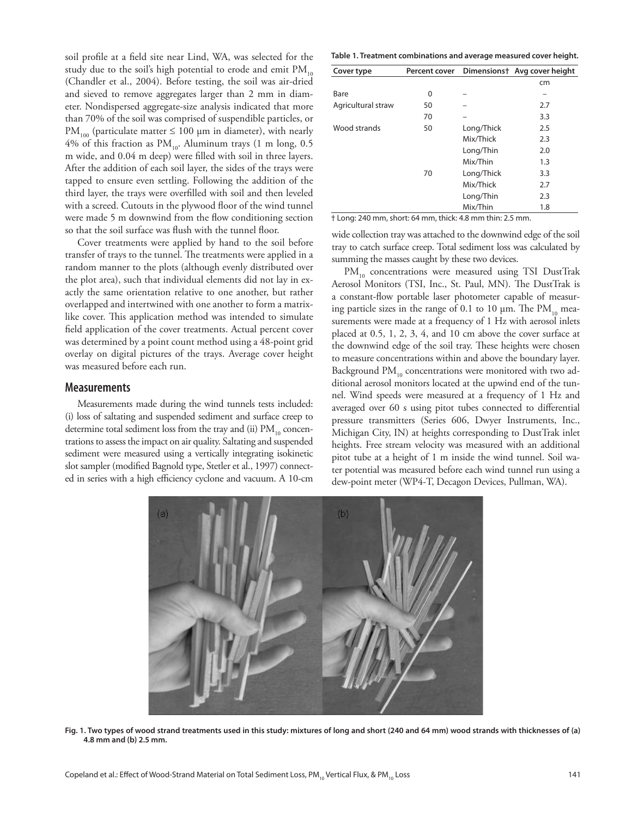soil profile at a field site near Lind, WA, was selected for the study due to the soil's high potential to erode and emit  $PM_{10}$ (Chandler et al., 2004). Before testing, the soil was air-dried and sieved to remove aggregates larger than 2 mm in diameter. Nondispersed aggregate-size analysis indicated that more than 70% of the soil was comprised of suspendible particles, or PM<sub>100</sub> (particulate matter  $\leq 100$  µm in diameter), with nearly 4% of this fraction as  $\text{PM}_{10}$ . Aluminum trays (1 m long, 0.5 m wide, and 0.04 m deep) were filled with soil in three layers. After the addition of each soil layer, the sides of the trays were tapped to ensure even settling. Following the addition of the third layer, the trays were overfilled with soil and then leveled with a screed. Cutouts in the plywood floor of the wind tunnel were made 5 m downwind from the flow conditioning section so that the soil surface was flush with the tunnel floor.

Cover treatments were applied by hand to the soil before transfer of trays to the tunnel. The treatments were applied in a random manner to the plots (although evenly distributed over the plot area), such that individual elements did not lay in exactly the same orientation relative to one another, but rather overlapped and intertwined with one another to form a matrixlike cover. This application method was intended to simulate field application of the cover treatments. Actual percent cover was determined by a point count method using a 48-point grid overlay on digital pictures of the trays. Average cover height was measured before each run.

#### **Measurements**

Measurements made during the wind tunnels tests included: (i) loss of saltating and suspended sediment and surface creep to determine total sediment loss from the tray and (ii)  $PM_{10}$  concentrations to assess the impact on air quality. Saltating and suspended sediment were measured using a vertically integrating isokinetic slot sampler (modified Bagnold type, Stetler et al., 1997) connected in series with a high efficiency cyclone and vacuum. A 10-cm

**Table 1. Treatment combinations and average measured cover height.**

| Cover type         | Percent cover |            | Dimensionst Avg cover height |
|--------------------|---------------|------------|------------------------------|
|                    |               |            | cm                           |
| Bare               | 0             |            |                              |
| Agricultural straw | 50            |            | 2.7                          |
|                    | 70            |            | 3.3                          |
| Wood strands       | 50            | Long/Thick | 2.5                          |
|                    |               | Mix/Thick  | 2.3                          |
|                    |               | Long/Thin  | 2.0                          |
|                    |               | Mix/Thin   | 1.3                          |
|                    | 70            | Long/Thick | 3.3                          |
|                    |               | Mix/Thick  | 2.7                          |
|                    |               | Long/Thin  | 2.3                          |
|                    |               | Mix/Thin   | 1.8                          |

† Long: 240 mm, short: 64 mm, thick: 4.8 mm thin: 2.5 mm.

wide collection tray was attached to the downwind edge of the soil tray to catch surface creep. Total sediment loss was calculated by summing the masses caught by these two devices.

PM<sub>10</sub> concentrations were measured using TSI DustTrak Aerosol Monitors (TSI, Inc., St. Paul, MN). The DustTrak is a constant-flow portable laser photometer capable of measuring particle sizes in the range of 0.1 to 10  $\mu$ m. The PM<sub>10</sub> measurements were made at a frequency of 1 Hz with aerosol inlets placed at 0.5, 1, 2, 3, 4, and 10 cm above the cover surface at the downwind edge of the soil tray. These heights were chosen to measure concentrations within and above the boundary layer. Background  $PM_{10}$  concentrations were monitored with two additional aerosol monitors located at the upwind end of the tunnel. Wind speeds were measured at a frequency of 1 Hz and averaged over 60 s using pitot tubes connected to differential pressure transmitters (Series 606, Dwyer Instruments, Inc., Michigan City, IN) at heights corresponding to DustTrak inlet heights. Free stream velocity was measured with an additional pitot tube at a height of 1 m inside the wind tunnel. Soil water potential was measured before each wind tunnel run using a dew-point meter (WP4-T, Decagon Devices, Pullman, WA).



**Fig. 1. Two types of wood strand treatments used in this study: mixtures of long and short (240 and 64 mm) wood strands with thicknesses of (a) 4.8 mm and (b) 2.5 mm.**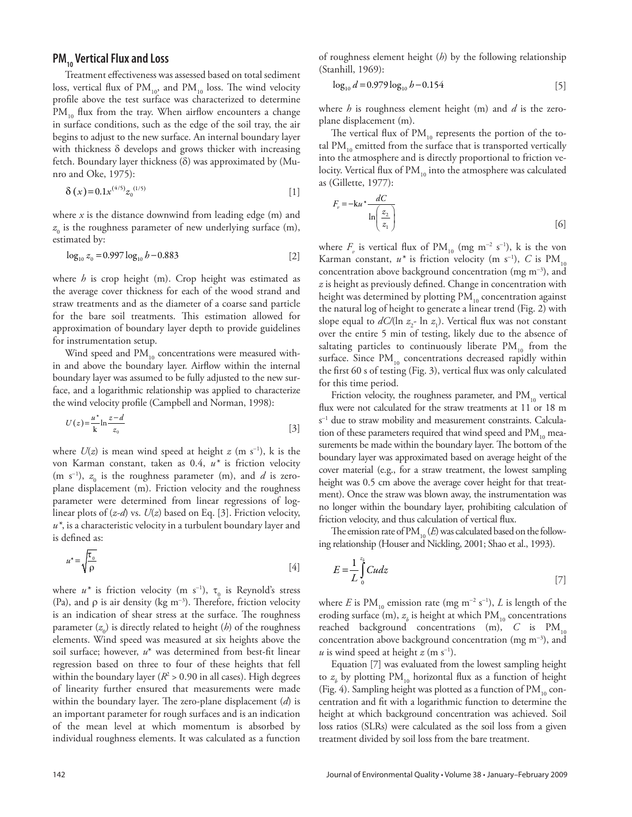# **PM<sub>10</sub>** Vertical Flux and Loss

Treatment effectiveness was assessed based on total sediment loss, vertical flux of  $\text{PM}_{10}$ , and  $\text{PM}_{10}$  loss. The wind velocity profile above the test surface was characterized to determine  $PM_{10}$  flux from the tray. When airflow encounters a change in surface conditions, such as the edge of the soil tray, the air begins to adjust to the new surface. An internal boundary layer with thickness  $\delta$  develops and grows thicker with increasing fetch. Boundary layer thickness (δ) was approximated by (Munro and Oke, 1975):

$$
\delta(x) = 0.1 x^{(4/5)} z_0^{(1/5)}
$$
 [1]

where *x* is the distance downwind from leading edge (m) and  $z_{\rm_{0}}$  is the roughness parameter of new underlying surface (m), estimated by:

$$
\log_{10} z_0 = 0.997 \log_{10} b - 0.883
$$
 [2]

where *h* is crop height (m). Crop height was estimated as the average cover thickness for each of the wood strand and straw treatments and as the diameter of a coarse sand particle for the bare soil treatments. This estimation allowed for approximation of boundary layer depth to provide guidelines for instrumentation setup.

Wind speed and  $PM_{10}$  concentrations were measured within and above the boundary layer. Airflow within the internal boundary layer was assumed to be fully adjusted to the new surface, and a logarithmic relationship was applied to characterize the wind velocity profile (Campbell and Norman, 1998):

$$
U(z) = \frac{u^*}{k} \ln \frac{z - d}{z_0} \tag{3}
$$

where  $U(z)$  is mean wind speed at height  $z$  (m s<sup>-1</sup>), k is the von Karman constant, taken as 0.4, *u\** is friction velocity (m s<sup>-1</sup>),  $z_0$  is the roughness parameter (m), and *d* is zeroplane displacement (m). Friction velocity and the roughness parameter were determined from linear regressions of loglinear plots of (*z-d*) vs. *U*(*z*) based on Eq. [3]. Friction velocity, *u\**, is a characteristic velocity in a turbulent boundary layer and is defined as:

$$
u^* = \sqrt{\frac{\tau_0}{\rho}} \tag{4}
$$

where  $u^*$  is friction velocity (m s<sup>-1</sup>),  $\tau_0$  is Reynold's stress (Pa), and  $\rho$  is air density (kg m<sup>-3</sup>). Therefore, friction velocity is an indication of shear stress at the surface. The roughness parameter ( $z_0$ ) is directly related to height (*h*) of the roughness elements. Wind speed was measured at six heights above the soil surface; however,  $u^*$  was determined from best-fit linear regression based on three to four of these heights that fell within the boundary layer ( $R^2 > 0.90$  in all cases). High degrees of linearity further ensured that measurements were made within the boundary layer. The zero-plane displacement (*d*) is an important parameter for rough surfaces and is an indication of the mean level at which momentum is absorbed by individual roughness elements. It was calculated as a function

of roughness element height (*h*) by the following relationship (Stanhill, 1969):

$$
\log_{10} d = 0.979 \log_{10} b - 0.154
$$
 [5]

where *h* is roughness element height (m) and *d* is the zeroplane displacement (m).

The vertical flux of  $\text{PM}_{10}$  represents the portion of the total PM $_{10}$  emitted from the surface that is transported vertically into the atmosphere and is directly proportional to friction velocity. Vertical flux of  $PM_{10}$  into the atmosphere was calculated as (Gillette, 1977):

$$
F_v = -\mathbf{k}u^* \frac{dC}{\ln\left(\frac{z_2}{z_1}\right)}\tag{6}
$$

where  $F_{\nu}$  is vertical flux of PM<sub>10</sub> (mg m<sup>-2</sup> s<sup>-1</sup>), k is the von Karman constant,  $u^*$  is friction velocity (m s<sup>-1</sup>), *C* is  $PM_{10}$ concentration above background concentration (mg m<sup>−</sup><sup>3</sup> ), and *z* is height as previously defined. Change in concentration with height was determined by plotting  $PM_{10}$  concentration against the natural log of height to generate a linear trend (Fig. 2) with slope equal to *dC/*(ln  $z_2$ - ln  $z_1$ ). Vertical flux was not constant over the entire 5 min of testing, likely due to the absence of saltating particles to continuously liberate  $PM_{10}$  from the surface. Since  $PM_{10}$  concentrations decreased rapidly within the first 60 s of testing (Fig. 3), vertical flux was only calculated for this time period.

Friction velocity, the roughness parameter, and  $PM_{10}$  vertical flux were not calculated for the straw treatments at 11 or 18 m s<sup>-1</sup> due to straw mobility and measurement constraints. Calculation of these parameters required that wind speed and  $PM_{10}$  measurements be made within the boundary layer. The bottom of the boundary layer was approximated based on average height of the cover material (e.g., for a straw treatment, the lowest sampling height was 0.5 cm above the average cover height for that treatment). Once the straw was blown away, the instrumentation was no longer within the boundary layer, prohibiting calculation of friction velocity, and thus calculation of vertical flux.

The emission rate of  $PM_{10}(E)$  was calculated based on the following relationship (Houser and Nickling, 2001; Shao et al., 1993).

$$
E = \frac{1}{L} \int_{0}^{z_b} C u dz
$$
 [7]

where *E* is  $PM_{10}$  emission rate (mg m<sup>-2</sup> s<sup>-1</sup>), *L* is length of the eroding surface (m),  $z_b$  is height at which PM<sub>10</sub> concentrations reached background concentrations  $(m)$ , *C* is  $PM_{10}$ concentration above background concentration (mg m<sup>−</sup><sup>3</sup> ), and  $u$  is wind speed at height  $z$  (m s<sup>-1</sup>).

Equation [7] was evaluated from the lowest sampling height to  $z_{\rm\scriptscriptstyle b}$  by plotting PM<sub>10</sub> horizontal flux as a function of height (Fig. 4). Sampling height was plotted as a function of  $\text{PM}_{10}$  concentration and fit with a logarithmic function to determine the height at which background concentration was achieved. Soil loss ratios (SLRs) were calculated as the soil loss from a given treatment divided by soil loss from the bare treatment.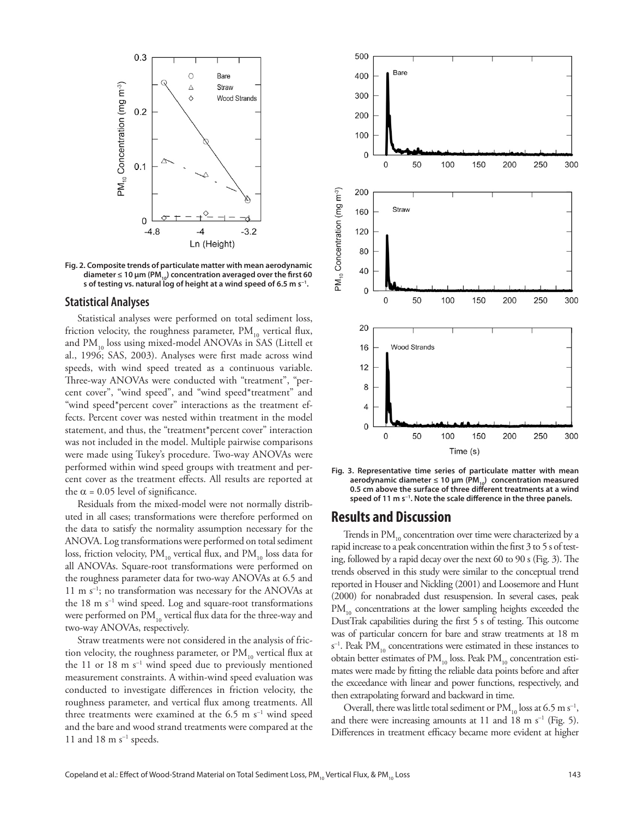

**Fig. 2. Composite trends of particulate matter with mean aerodynamic**   $diameter \leq 10 \mu m (PM_{10})$  concentration averaged over the first 60 **s of testing vs. natural log of height at a wind speed of 6.5 m s−1.**

#### **Statistical Analyses**

Statistical analyses were performed on total sediment loss, friction velocity, the roughness parameter,  $PM_{10}$  vertical flux, and  $PM_{10}$  loss using mixed-model ANOVAs in SAS (Littell et al., 1996; SAS, 2003). Analyses were first made across wind speeds, with wind speed treated as a continuous variable. Three-way ANOVAs were conducted with "treatment", "percent cover", "wind speed", and "wind speed\*treatment" and "wind speed\*percent cover" interactions as the treatment effects. Percent cover was nested within treatment in the model statement, and thus, the "treatment\*percent cover" interaction was not included in the model. Multiple pairwise comparisons were made using Tukey's procedure. Two-way ANOVAs were performed within wind speed groups with treatment and percent cover as the treatment effects. All results are reported at the  $\alpha$  = 0.05 level of significance.

Residuals from the mixed-model were not normally distributed in all cases; transformations were therefore performed on the data to satisfy the normality assumption necessary for the ANOVA. Log transformations were performed on total sediment loss, friction velocity,  $PM_{10}$  vertical flux, and  $PM_{10}$  loss data for all ANOVAs. Square-root transformations were performed on the roughness parameter data for two-way ANOVAs at 6.5 and 11 m s<sup>−</sup><sup>1</sup> ; no transformation was necessary for the ANOVAs at the 18 m s<sup>−</sup><sup>1</sup> wind speed. Log and square-root transformations were performed on  $\text{PM}_{10}$  vertical flux data for the three-way and two-way ANOVAs, respectively.

Straw treatments were not considered in the analysis of friction velocity, the roughness parameter, or  $\text{PM}_{10}$  vertical flux at the 11 or 18 m s<sup>−</sup><sup>1</sup> wind speed due to previously mentioned measurement constraints. A within-wind speed evaluation was conducted to investigate differences in friction velocity, the roughness parameter, and vertical flux among treatments. All three treatments were examined at the 6.5 m s<sup>−</sup><sup>1</sup> wind speed and the bare and wood strand treatments were compared at the 11 and 18 m s<sup>-1</sup> speeds.



**Fig. 3. Representative time series of particulate matter with mean aerodynamic diameter ≤ 10 μm (PM**<sub>10</sub>) concentration measured 0.5 cm above the surface of three different treatments at a wind speed of 11 m s<sup>-1</sup>. Note the scale difference in the three panels.

## **Results and Discussion**

Trends in  $PM_{10}$  concentration over time were characterized by a rapid increase to a peak concentration within the first 3 to 5 s of testing, followed by a rapid decay over the next 60 to 90 s (Fig. 3). The trends observed in this study were similar to the conceptual trend reported in Houser and Nickling (2001) and Loosemore and Hunt (2000) for nonabraded dust resuspension. In several cases, peak PM<sub>10</sub> concentrations at the lower sampling heights exceeded the DustTrak capabilities during the first 5 s of testing. This outcome was of particular concern for bare and straw treatments at 18 m  $s^{-1}$ . Peak PM<sub>10</sub> concentrations were estimated in these instances to obtain better estimates of  $PM_{10}$  loss. Peak  $PM_{10}$  concentration estimates were made by fitting the reliable data points before and after the exceedance with linear and power functions, respectively, and then extrapolating forward and backward in time.

Overall, there was little total sediment or  $\text{PM}_{_{10}}$  loss at 6.5 m s<sup>-1</sup>, and there were increasing amounts at 11 and 18 m  $s^{-1}$  (Fig. 5). Differences in treatment efficacy became more evident at higher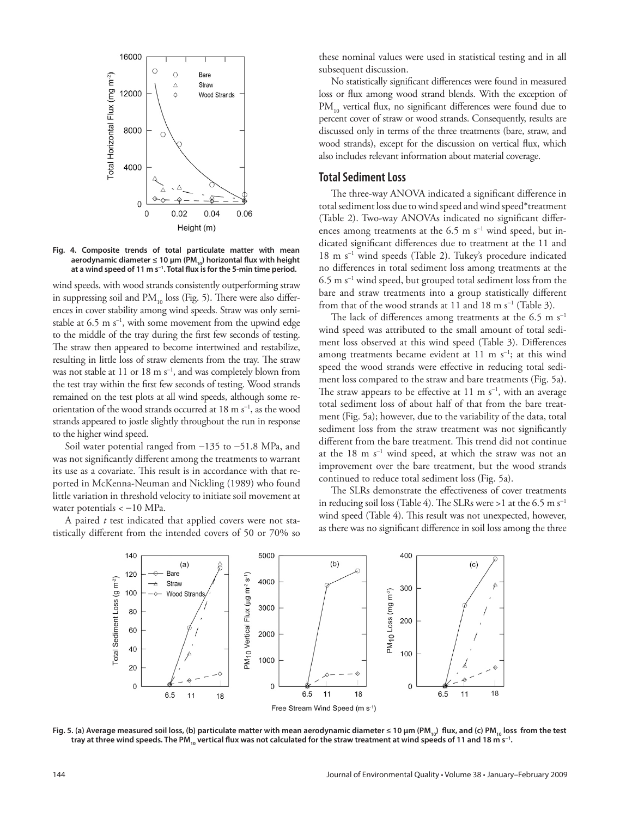

**Fig. 4. Composite trends of total particulate matter with mean**   $\frac{1}{2}$  aerodynamic diameter  $\leq 10$  µm (PM<sub>10</sub>) horizontal flux with height at a wind speed of 11 m s<sup>−1</sup>. Total flux is for the 5-min time period.

wind speeds, with wood strands consistently outperforming straw in suppressing soil and  $PM_{10}$  loss (Fig. 5). There were also differences in cover stability among wind speeds. Straw was only semistable at 6.5 m s<sup>-1</sup>, with some movement from the upwind edge to the middle of the tray during the first few seconds of testing. The straw then appeared to become intertwined and restabilize, resulting in little loss of straw elements from the tray. The straw was not stable at 11 or 18 m s<sup>-1</sup>, and was completely blown from the test tray within the first few seconds of testing. Wood strands remained on the test plots at all wind speeds, although some reorientation of the wood strands occurred at 18 m s<sup>−</sup><sup>1</sup> , as the wood strands appeared to jostle slightly throughout the run in response to the higher wind speed.

Soil water potential ranged from −135 to −51.8 MPa, and was not significantly different among the treatments to warrant its use as a covariate. This result is in accordance with that reported in McKenna-Neuman and Nickling (1989) who found little variation in threshold velocity to initiate soil movement at water potentials  $<-10$  MPa.

A paired *t* test indicated that applied covers were not statistically different from the intended covers of 50 or 70% so

these nominal values were used in statistical testing and in all subsequent discussion.

No statistically significant differences were found in measured loss or flux among wood strand blends. With the exception of  $PM_{10}$  vertical flux, no significant differences were found due to percent cover of straw or wood strands. Consequently, results are discussed only in terms of the three treatments (bare, straw, and wood strands), except for the discussion on vertical flux, which also includes relevant information about material coverage.

#### **Total Sediment Loss**

The three-way ANOVA indicated a significant difference in total sediment loss due to wind speed and wind speed\*treatment (Table 2). Two-way ANOVAs indicated no significant differences among treatments at the 6.5 m s<sup>-1</sup> wind speed, but indicated significant differences due to treatment at the 11 and 18 m s<sup>−</sup><sup>1</sup> wind speeds (Table 2). Tukey's procedure indicated no differences in total sediment loss among treatments at the 6.5 m s<sup>−</sup><sup>1</sup> wind speed, but grouped total sediment loss from the bare and straw treatments into a group statistically different from that of the wood strands at 11 and 18 m s<sup>−</sup><sup>1</sup> (Table 3).

The lack of differences among treatments at the 6.5 m s<sup>-1</sup> wind speed was attributed to the small amount of total sediment loss observed at this wind speed (Table 3). Differences among treatments became evident at 11 m s<sup>-1</sup>; at this wind speed the wood strands were effective in reducing total sediment loss compared to the straw and bare treatments (Fig. 5a). The straw appears to be effective at  $11 \text{ m s}^{-1}$ , with an average total sediment loss of about half of that from the bare treatment (Fig. 5a); however, due to the variability of the data, total sediment loss from the straw treatment was not significantly different from the bare treatment. This trend did not continue at the 18 m s<sup>−</sup><sup>1</sup> wind speed, at which the straw was not an improvement over the bare treatment, but the wood strands continued to reduce total sediment loss (Fig. 5a).

The SLRs demonstrate the effectiveness of cover treatments in reducing soil loss (Table 4). The SLRs were >1 at the 6.5 m s<sup>-1</sup> wind speed (Table 4). This result was not unexpected, however, as there was no significant difference in soil loss among the three



**Fig. 5. (a) Average measured soil loss, (b) particulate matter with mean aerodynamic diameter ≤ 10 µm (PM<sub>10</sub>) flux, and (c) PM<sub>10</sub> loss from the test** tray at three wind speeds. The PM<sub>10</sub> vertical flux was not calculated for the straw treatment at wind speeds of 11 and 18 m s<sup>−1</sup>.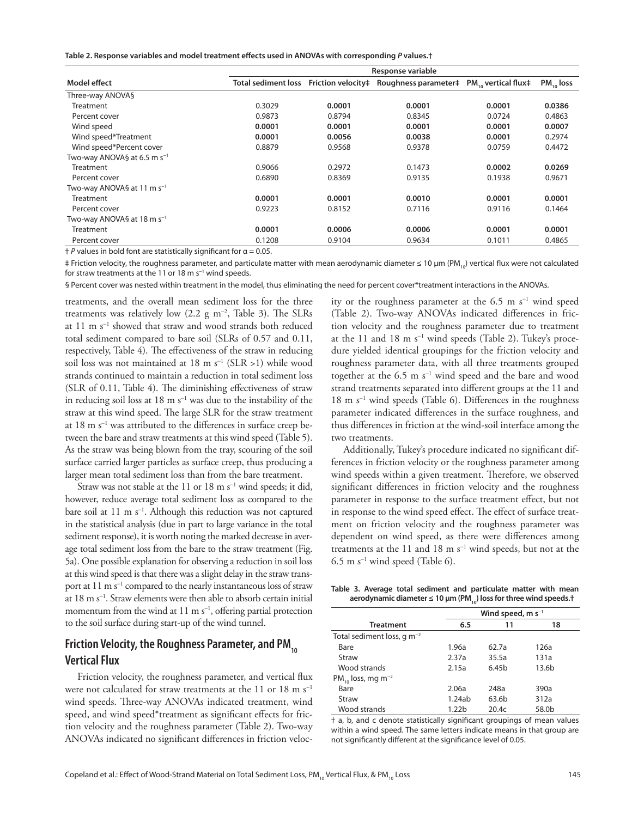| Table 2. Response variables and model treatment effects used in ANOVAs with corresponding P values.† |  |  |  |
|------------------------------------------------------------------------------------------------------|--|--|--|
|------------------------------------------------------------------------------------------------------|--|--|--|

|                                        | Response variable                  |        |                                                                                             |        |                |  |  |
|----------------------------------------|------------------------------------|--------|---------------------------------------------------------------------------------------------|--------|----------------|--|--|
| <b>Model effect</b>                    |                                    |        | Total sediment loss Friction velocity# Roughness parameter# PM <sub>10</sub> vertical flux# |        | $PM_{10}$ loss |  |  |
| Three-way ANOVA§                       |                                    |        |                                                                                             |        |                |  |  |
| Treatment                              | 0.3029                             | 0.0001 | 0.0001                                                                                      | 0.0001 | 0.0386         |  |  |
| Percent cover                          | 0.9873                             | 0.8794 | 0.8345                                                                                      | 0.0724 | 0.4863         |  |  |
| Wind speed                             | 0.0001                             | 0.0001 | 0.0001                                                                                      | 0.0001 | 0.0007         |  |  |
| Wind speed*Treatment                   | 0.0001                             | 0.0056 | 0.0038                                                                                      | 0.0001 | 0.2974         |  |  |
| Wind speed*Percent cover               | 0.8879                             | 0.9568 | 0.9378                                                                                      | 0.0759 | 0.4472         |  |  |
| Two-way ANOVA§ at 6.5 m $s^{-1}$       |                                    |        |                                                                                             |        |                |  |  |
| Treatment                              | 0.9066                             | 0.2972 | 0.1473                                                                                      | 0.0002 | 0.0269         |  |  |
| Percent cover                          | 0.6890                             | 0.8369 | 0.9135                                                                                      | 0.1938 | 0.9671         |  |  |
| Two-way ANOVA§ at 11 m s <sup>-1</sup> |                                    |        |                                                                                             |        |                |  |  |
| <b>Treatment</b>                       | 0.0001                             | 0.0001 | 0.0010                                                                                      | 0.0001 | 0.0001         |  |  |
| Percent cover                          | 0.9223                             | 0.8152 | 0.7116                                                                                      | 0.9116 | 0.1464         |  |  |
| Two-way ANOVA§ at 18 m $s^{-1}$        |                                    |        |                                                                                             |        |                |  |  |
| Treatment                              | 0.0001                             | 0.0006 | 0.0006                                                                                      | 0.0001 | 0.0001         |  |  |
| Percent cover<br>.<br>.                | 0.1208<br>$\overline{\phantom{a}}$ | 0.9104 | 0.9634                                                                                      | 0.1011 | 0.4865         |  |  |

 $\dagger$  P values in bold font are statistically significant for  $\alpha$  = 0.05.

‡ Friction velocity, the roughness parameter, and particulate matter with mean aerodynamic diameter ≤ 10 μm (PM<sub>10</sub>) vertical flux were not calculated for straw treatments at the 11 or 18 m s−1 wind speeds.

§ Percent cover was nested within treatment in the model, thus eliminating the need for percent cover\*treatment interactions in the ANOVAs.

treatments, and the overall mean sediment loss for the three treatments was relatively low  $(2.2 \text{ g m}^{-2}, \text{ Table 3}).$  The SLRs at 11 m s<sup>-1</sup> showed that straw and wood strands both reduced total sediment compared to bare soil (SLRs of 0.57 and 0.11, respectively, Table 4). The effectiveness of the straw in reducing soil loss was not maintained at 18 m s<sup>-1</sup> (SLR >1) while wood strands continued to maintain a reduction in total sediment loss (SLR of  $0.11$ , Table 4). The diminishing effectiveness of straw in reducing soil loss at 18 m s<sup>−</sup><sup>1</sup> was due to the instability of the straw at this wind speed. The large SLR for the straw treatment at 18 m s<sup>-1</sup> was attributed to the differences in surface creep between the bare and straw treatments at this wind speed (Table 5). As the straw was being blown from the tray, scouring of the soil surface carried larger particles as surface creep, thus producing a larger mean total sediment loss than from the bare treatment.

Straw was not stable at the 11 or 18 m s<sup>-1</sup> wind speeds; it did, however, reduce average total sediment loss as compared to the bare soil at 11 m s<sup>-1</sup>. Although this reduction was not captured in the statistical analysis (due in part to large variance in the total sediment response), it is worth noting the marked decrease in average total sediment loss from the bare to the straw treatment (Fig. 5a). One possible explanation for observing a reduction in soil loss at this wind speed is that there was a slight delay in the straw transport at 11 m s<sup>-1</sup> compared to the nearly instantaneous loss of straw at 18 m s<sup>−</sup><sup>1</sup> . Straw elements were then able to absorb certain initial momentum from the wind at 11 m s<sup>-1</sup>, offering partial protection to the soil surface during start-up of the wind tunnel.

# **Friction Velocity, the Roughness Parameter, and PM**<sub>10</sub> **Vertical Flux**

Friction velocity, the roughness parameter, and vertical flux were not calculated for straw treatments at the 11 or 18 m s<sup>-1</sup> wind speeds. Three-way ANOVAs indicated treatment, wind speed, and wind speed\*treatment as significant effects for friction velocity and the roughness parameter (Table 2). Two-way ANOVAs indicated no significant differences in friction veloc-

ity or the roughness parameter at the 6.5 m s<sup>−</sup><sup>1</sup> wind speed (Table 2). Two-way ANOVAs indicated differences in friction velocity and the roughness parameter due to treatment at the 11 and 18 m s<sup>−</sup><sup>1</sup> wind speeds (Table 2). Tukey's procedure yielded identical groupings for the friction velocity and roughness parameter data, with all three treatments grouped together at the 6.5 m s<sup>−</sup><sup>1</sup> wind speed and the bare and wood strand treatments separated into different groups at the 11 and 18 m s<sup>-1</sup> wind speeds (Table 6). Differences in the roughness parameter indicated differences in the surface roughness, and thus differences in friction at the wind-soil interface among the two treatments.

Additionally, Tukey's procedure indicated no significant differences in friction velocity or the roughness parameter among wind speeds within a given treatment. Therefore, we observed significant differences in friction velocity and the roughness parameter in response to the surface treatment effect, but not in response to the wind speed effect. The effect of surface treatment on friction velocity and the roughness parameter was dependent on wind speed, as there were differences among treatments at the 11 and 18 m s<sup>−</sup><sup>1</sup> wind speeds, but not at the 6.5 m s<sup>−</sup><sup>1</sup> wind speed (Table 6).

**Table 3. Average total sediment and particulate matter with mean**  aerodynamic diameter ≤ 10 μm (PM<sub>10</sub>) loss for three wind speeds.†

|                                    | Wind speed, $m s^{-1}$ |                   |       |  |  |
|------------------------------------|------------------------|-------------------|-------|--|--|
| <b>Treatment</b>                   | 6.5                    | 11                | 18    |  |  |
| Total sediment loss, $q m^{-2}$    |                        |                   |       |  |  |
| Bare                               | 1.96a                  | 62.7a             | 126a  |  |  |
| Straw                              | 2.37a                  | 35.5a             | 131a  |  |  |
| Wood strands                       | 2.15a                  | 6.45 <sub>b</sub> | 13.6b |  |  |
| $PM_{10}$ loss, mg m <sup>-2</sup> |                        |                   |       |  |  |
| Bare                               | 2.06a                  | 248a              | 390a  |  |  |
| Straw                              | 1.24ab                 | 63.6b             | 312a  |  |  |
| Wood strands                       | 1.22b                  | 20.4c             | 58.0b |  |  |

 $\dagger$  a, b, and c denote statistically significant groupings of mean values within a wind speed. The same letters indicate means in that group are not significantly different at the significance level of 0.05.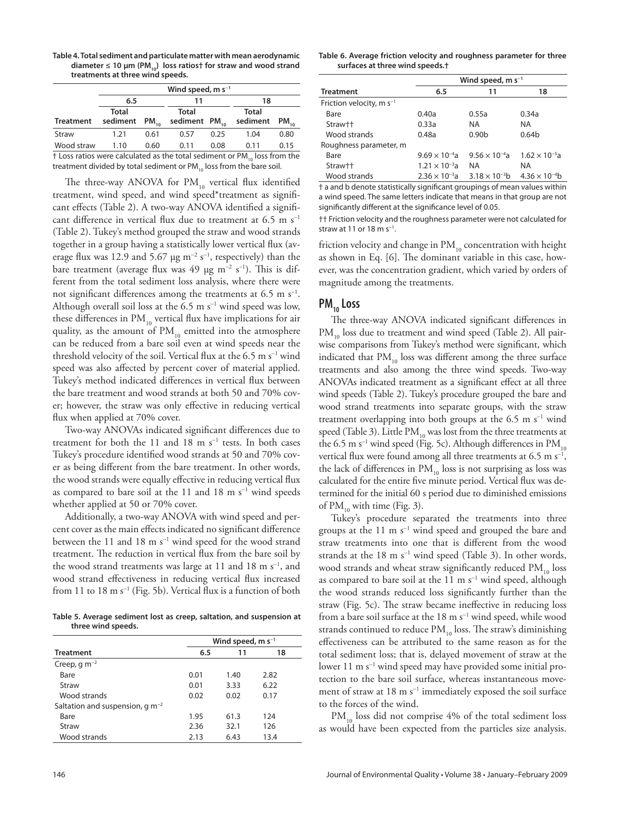**Table 4. Total sediment and particulate matter with mean aerodynamic**  diameter ≤ 10 μm (PM<sub>10</sub>) loss ratios† for straw and wood strand **treatments at three wind speeds.**

|                                                                          |                          |          | Wind speed, $m s^{-1}$ |      |                          |           |
|--------------------------------------------------------------------------|--------------------------|----------|------------------------|------|--------------------------|-----------|
|                                                                          | 6.5<br>11                |          | 18                     |      |                          |           |
| <b>Treatment</b>                                                         | <b>Total</b><br>sediment | $PM_{.}$ | Total<br>sediment PM.  |      | <b>Total</b><br>sediment | $PM_{10}$ |
| Straw                                                                    | 1.21                     | 0.61     | 0.57                   | 0.25 | 1.04                     | 0.80      |
| Wood straw                                                               | 1.10                     | 0.60     | 0.11                   | 0.08 | 0.11                     | 0.15      |
| † Loss ratios were calculated as the total sediment or PM, loss from the |                          |          |                        |      |                          |           |

treatment divided by total sediment or  $PM_{10}$  loss from the bare soil.

The three-way ANOVA for  $PM_{10}$  vertical flux identified treatment, wind speed, and wind speed\*treatment as significant effects (Table 2). A two-way ANOVA identified a significant difference in vertical flux due to treatment at 6.5 m s<sup>-1</sup> (Table 2). Tukey's method grouped the straw and wood strands together in a group having a statistically lower vertical flux (average flux was 12.9 and 5.67 µg m<sup>-2</sup> s<sup>-1</sup>, respectively) than the bare treatment (average flux was 49 µg m<sup>-2</sup> s<sup>-1</sup>). This is different from the total sediment loss analysis, where there were not significant differences among the treatments at  $6.5 \text{ m s}^{-1}$ . Although overall soil loss at the  $6.5 \text{ m s}^{-1}$  wind speed was low, these differences in  $PM_{10}$  vertical flux have implications for air quality, as the amount of  $PM_{10}$  emitted into the atmosphere can be reduced from a bare soil even at wind speeds near the threshold velocity of the soil. Vertical flux at the  $6.5 \text{ m s}^{-1}$  wind speed was also affected by percent cover of material applied. Tukey's method indicated differences in vertical flux between the bare treatment and wood strands at both 50 and 70% cover; however, the straw was only effective in reducing vertical flux when applied at 70% cover.

Two-way ANOVAs indicated significant differences due to treatment for both the 11 and 18 m s<sup>−</sup><sup>1</sup> tests. In both cases Tukey's procedure identified wood strands at 50 and 70% cover as being different from the bare treatment. In other words, the wood strands were equally effective in reducing vertical flux as compared to bare soil at the 11 and 18 m s<sup>-1</sup> wind speeds whether applied at 50 or 70% cover.

Additionally, a two-way ANOVA with wind speed and percent cover as the main effects indicated no significant difference between the 11 and 18 m s<sup>-1</sup> wind speed for the wood strand treatment. The reduction in vertical flux from the bare soil by the wood strand treatments was large at 11 and 18 m s<sup>-1</sup>, and wood strand effectiveness in reducing vertical flux increased from 11 to 18 m s<sup>-1</sup> (Fig. 5b). Vertical flux is a function of both

**Table 5. Average sediment lost as creep, saltation, and suspension at three wind speeds.**

|                                      | Wind speed, $m s^{-1}$ |      |      |  |
|--------------------------------------|------------------------|------|------|--|
| <b>Treatment</b>                     | 6.5                    | 11   | 18   |  |
| Creep, $q m^{-2}$                    |                        |      |      |  |
| Bare                                 | 0.01                   | 1.40 | 2.82 |  |
| Straw                                | 0.01                   | 3.33 | 6.22 |  |
| Wood strands                         | 0.02                   | 0.02 | 0.17 |  |
| Saltation and suspension, $q m^{-2}$ |                        |      |      |  |
| Bare                                 | 1.95                   | 61.3 | 124  |  |
| Straw                                | 2.36                   | 32.1 | 126  |  |
| Wood strands                         | 2.13                   | 6.43 | 13.4 |  |

**Table 6. Average friction velocity and roughness parameter for three surfaces at three wind speeds.†**

| Wind speed, $m s^{-1}$  |                         |                         |  |  |
|-------------------------|-------------------------|-------------------------|--|--|
| 6.5                     | 11                      | 18                      |  |  |
|                         |                         |                         |  |  |
| 0.40a                   | 0.55a                   | 0.34a                   |  |  |
| 0.33a                   | <b>NA</b>               | NA.                     |  |  |
| 0.48a                   | 0.90 <sub>b</sub>       | 0.64 <sub>b</sub>       |  |  |
|                         |                         |                         |  |  |
| $9.69 \times 10^{-4}$ a | $9.56 \times 10^{-4}$ a | $1.62 \times 10^{-5}$ a |  |  |
| $1.21 \times 10^{-3}$ a | NA                      | NA                      |  |  |
| $2.36 \times 10^{-3}$ a | $3.18 \times 10^{-3}$ b | $4.36 \times 10^{-4}$ b |  |  |
|                         |                         |                         |  |  |

 $\dagger$  a and b denote statistically significant groupings of mean values within a wind speed. The same letters indicate that means in that group are not significantly different at the significance level of 0.05.

†† Friction velocity and the roughness parameter were not calculated for straw at 11 or 18 m  $s^{-1}$ .

friction velocity and change in  $\text{PM}_{10}$  concentration with height as shown in Eq. [6]. The dominant variable in this case, however, was the concentration gradient, which varied by orders of magnitude among the treatments.

# **PM<sub>10</sub>** Loss

The three-way ANOVA indicated significant differences in  $PM_{10}$  loss due to treatment and wind speed (Table 2). All pairwise comparisons from Tukey's method were significant, which indicated that  $PM_{10}$  loss was different among the three surface treatments and also among the three wind speeds. Two-way ANOVAs indicated treatment as a significant effect at all three wind speeds (Table 2). Tukey's procedure grouped the bare and wood strand treatments into separate groups, with the straw treatment overlapping into both groups at the 6.5 m s<sup>−</sup><sup>1</sup> wind speed (Table 3). Little  $PM_{10}$  was lost from the three treatments at the 6.5 m s<sup>-1</sup> wind speed (Fig. 5c). Although differences in  $\text{PM}_{_{10}}$ vertical flux were found among all three treatments at  $6.5 \text{ m s}^{-1}$ , the lack of differences in  $\text{PM}_{10}$  loss is not surprising as loss was calculated for the entire five minute period. Vertical flux was determined for the initial 60 s period due to diminished emissions of  $PM_{10}$  with time (Fig. 3).

Tukey's procedure separated the treatments into three groups at the 11 m s<sup>-1</sup> wind speed and grouped the bare and straw treatments into one that is different from the wood strands at the 18 m s<sup>-1</sup> wind speed (Table 3). In other words, wood strands and wheat straw significantly reduced  $PM_{10}$  loss as compared to bare soil at the 11 m s<sup>-1</sup> wind speed, although the wood strands reduced loss significantly further than the straw (Fig. 5c). The straw became ineffective in reducing loss from a bare soil surface at the 18 m s<sup>-1</sup> wind speed, while wood strands continued to reduce  $PM_{10}$  loss. The straw's diminishing effectiveness can be attributed to the same reason as for the total sediment loss; that is, delayed movement of straw at the lower 11 m s<sup>-1</sup> wind speed may have provided some initial protection to the bare soil surface, whereas instantaneous movement of straw at 18 m s<sup>-1</sup> immediately exposed the soil surface to the forces of the wind.

 $PM_{10}$  loss did not comprise 4% of the total sediment loss as would have been expected from the particles size analysis.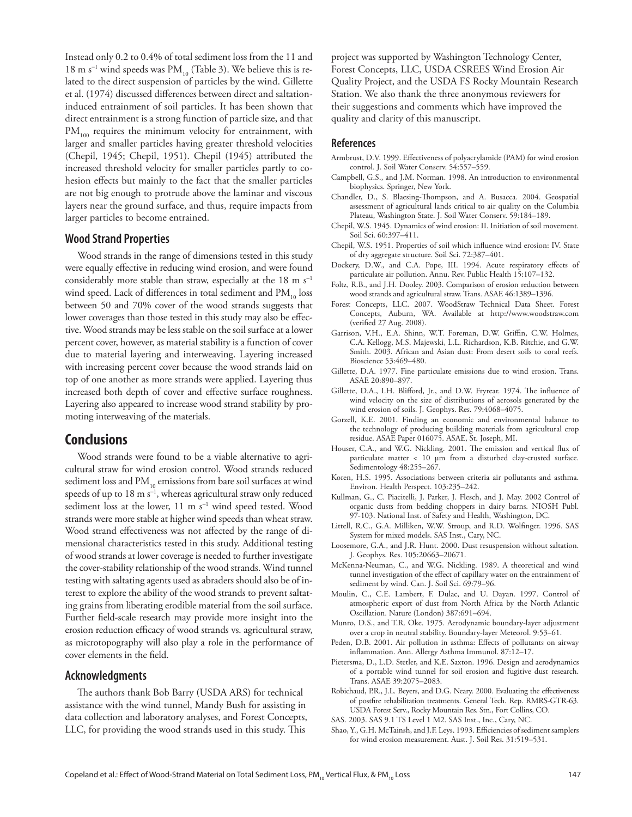Instead only 0.2 to 0.4% of total sediment loss from the 11 and 18 m s<sup>-1</sup> wind speeds was  $\text{PM}_{10}$  (Table 3). We believe this is related to the direct suspension of particles by the wind. Gillette et al. (1974) discussed differences between direct and saltationinduced entrainment of soil particles. It has been shown that direct entrainment is a strong function of particle size, and that  $PM_{100}$  requires the minimum velocity for entrainment, with larger and smaller particles having greater threshold velocities (Chepil, 1945; Chepil, 1951). Chepil (1945) attributed the increased threshold velocity for smaller particles partly to cohesion effects but mainly to the fact that the smaller particles are not big enough to protrude above the laminar and viscous layers near the ground surface, and thus, require impacts from larger particles to become entrained.

### **Wood Strand Properties**

Wood strands in the range of dimensions tested in this study were equally effective in reducing wind erosion, and were found considerably more stable than straw, especially at the 18 m  $s^{-1}$ wind speed. Lack of differences in total sediment and PM<sub>10</sub> loss between 50 and 70% cover of the wood strands suggests that lower coverages than those tested in this study may also be effective. Wood strands may be less stable on the soil surface at a lower percent cover, however, as material stability is a function of cover due to material layering and interweaving. Layering increased with increasing percent cover because the wood strands laid on top of one another as more strands were applied. Layering thus increased both depth of cover and effective surface roughness. Layering also appeared to increase wood strand stability by promoting interweaving of the materials.

### **Conclusions**

Wood strands were found to be a viable alternative to agricultural straw for wind erosion control. Wood strands reduced sediment loss and  $PM_{10}$  emissions from bare soil surfaces at wind speeds of up to 18 m s<sup>-1</sup>, whereas agricultural straw only reduced sediment loss at the lower, 11 m s<sup>-1</sup> wind speed tested. Wood strands were more stable at higher wind speeds than wheat straw. Wood strand effectiveness was not affected by the range of dimensional characteristics tested in this study. Additional testing of wood strands at lower coverage is needed to further investigate the cover-stability relationship of the wood strands. Wind tunnel testing with saltating agents used as abraders should also be of interest to explore the ability of the wood strands to prevent saltating grains from liberating erodible material from the soil surface. Further field-scale research may provide more insight into the erosion reduction efficacy of wood strands vs. agricultural straw, as microtopography will also play a role in the performance of cover elements in the field.

### **Acknowledgments**

The authors thank Bob Barry (USDA ARS) for technical assistance with the wind tunnel, Mandy Bush for assisting in data collection and laboratory analyses, and Forest Concepts, LLC, for providing the wood strands used in this study. This

project was supported by Washington Technology Center, Forest Concepts, LLC, USDA CSREES Wind Erosion Air Quality Project, and the USDA FS Rocky Mountain Research Station. We also thank the three anonymous reviewers for their suggestions and comments which have improved the quality and clarity of this manuscript.

#### **References**

- Armbrust, D.V. 1999. Effectiveness of polyacrylamide (PAM) for wind erosion control. J. Soil Water Conserv. 54:557–559.
- Campbell, G.S., and J.M. Norman. 1998. An introduction to environmental biophysics. Springer, New York.
- Chandler, D., S. Blaesing-Thompson, and A. Busacca. 2004. Geospatial assessment of agricultural lands critical to air quality on the Columbia Plateau, Washington State. J. Soil Water Conserv. 59:184–189.
- Chepil, W.S. 1945. Dynamics of wind erosion: II. Initiation of soil movement. Soil Sci. 60:397–411.
- Chepil, W.S. 1951. Properties of soil which influence wind erosion: IV. State of dry aggregate structure. Soil Sci. 72:387–401.
- Dockery, D.W., and C.A. Pope, III. 1994. Acute respiratory effects of particulate air pollution. Annu. Rev. Public Health 15:107–132.
- Foltz, R.B., and J.H. Dooley. 2003. Comparison of erosion reduction between wood strands and agricultural straw. Trans. ASAE 46:1389–1396.
- Forest Concepts, LLC. 2007. WoodStraw Technical Data Sheet. Forest Concepts, Auburn, WA. Available at http://www.woodstraw.com (verified 27 Aug. 2008).
- Garrison, V.H., E.A. Shinn, W.T. Foreman, D.W. Griffin, C.W. Holmes, C.A. Kellogg, M.S. Majewski, L.L. Richardson, K.B. Ritchie, and G.W. Smith. 2003. African and Asian dust: From desert soils to coral reefs. Bioscience 53:469–480.
- Gillette, D.A. 1977. Fine particulate emissions due to wind erosion. Trans. ASAE 20:890–897.
- Gillette, D.A., I.H. Blifford, Jr., and D.W. Fryrear. 1974. The influence of wind velocity on the size of distributions of aerosols generated by the wind erosion of soils. J. Geophys. Res. 79:4068–4075.
- Gorzell, K.E. 2001. Finding an economic and environmental balance to the technology of producing building materials from agricultural crop residue. ASAE Paper 016075. ASAE, St. Joseph, MI.
- Houser, C.A., and W.G. Nickling. 2001. The emission and vertical flux of particulate matter < 10 μm from a disturbed clay-crusted surface. Sedimentology 48:255–267.
- Koren, H.S. 1995. Associations between criteria air pollutants and asthma. Environ. Health Perspect. 103:235–242.
- Kullman, G., C. Piacitelli, J. Parker, J. Flesch, and J. May. 2002 Control of organic dusts from bedding choppers in dairy barns. NIOSH Publ. 97-103. National Inst. of Safety and Health, Washington, DC.
- Littell, R.C., G.A. Milliken, W.W. Stroup, and R.D. Wolfinger. 1996. SAS System for mixed models. SAS Inst., Cary, NC.
- Loosemore, G.A., and J.R. Hunt. 2000. Dust resuspension without saltation. J. Geophys. Res. 105:20663–20671.
- McKenna-Neuman, C., and W.G. Nickling. 1989. A theoretical and wind tunnel investigation of the effect of capillary water on the entrainment of sediment by wind. Can. J. Soil Sci. 69:79–96.
- Moulin, C., C.E. Lambert, F. Dulac, and U. Dayan. 1997. Control of atmospheric export of dust from North Africa by the North Atlantic Oscillation. Nature (London) 387:691–694.
- Munro, D.S., and T.R. Oke. 1975. Aerodynamic boundary-layer adjustment over a crop in neutral stability. Boundary-layer Meteorol. 9:53–61.
- Peden, D.B. 2001. Air pollution in asthma: Effects of pollutants on airway inflammation. Ann. Allergy Asthma Immunol. 87:12-17.
- Pietersma, D., L.D. Stetler, and K.E. Saxton. 1996. Design and aerodynamics of a portable wind tunnel for soil erosion and fugitive dust research. Trans. ASAE 39:2075–2083.
- Robichaud, P.R., J.L. Beyers, and D.G. Neary. 2000. Evaluating the effectiveness of postfire rehabilitation treatments. General Tech. Rep. RMRS-GTR-63. USDA Forest Serv., Rocky Mountain Res. Stn., Fort Collins, CO.
- SAS. 2003. SAS 9.1 TS Level 1 M2. SAS Inst., Inc., Cary, NC.
- Shao, Y., G.H. McTainsh, and J.F. Leys. 1993. Efficiencies of sediment samplers for wind erosion measurement. Aust. J. Soil Res. 31:519–531.